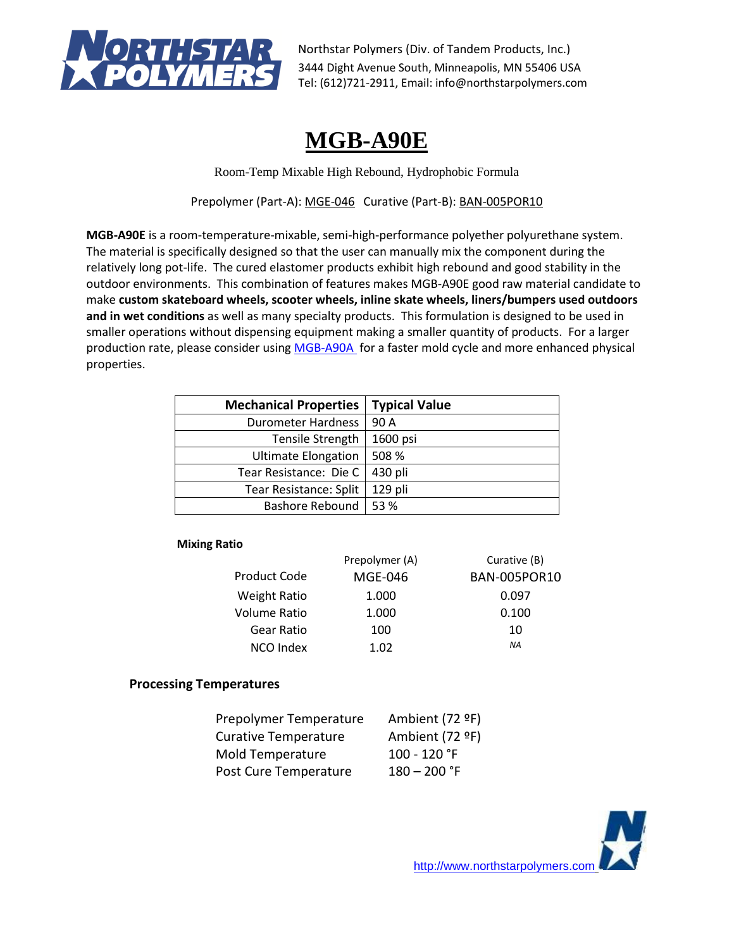

# **MGB-A90E**

Room-Temp Mixable High Rebound, Hydrophobic Formula

Prepolymer (Part-A): MGE-046 Curative (Part-B): BAN-005POR10

**MGB-A90E** is a room-temperature-mixable, semi-high-performance polyether polyurethane system. The material is specifically designed so that the user can manually mix the component during the relatively long pot-life. The cured elastomer products exhibit high rebound and good stability in the outdoor environments. This combination of features makes MGB-A90E good raw material candidate to make **custom skateboard wheels, scooter wheels, inline skate wheels, liners/bumpers used outdoors and in wet conditions** as well as many specialty products. This formulation is designed to be used in smaller operations without dispensing equipment making a smaller quantity of products. For a larger production rate, please consider using [MGB-A90A](https://northstarpolymers.com/051719_PDF_Files/High_Performance/MGB-A90A_TDS_053019.pdf) for a faster mold cycle and more enhanced physical properties.

| <b>Mechanical Properties</b> | <b>Typical Value</b> |
|------------------------------|----------------------|
| Durometer Hardness           | 90 A                 |
| Tensile Strength             | 1600 psi             |
| <b>Ultimate Elongation</b>   | 508 %                |
| Tear Resistance: Die C       | 430 pli              |
| Tear Resistance: Split       | 129 pli              |
| <b>Bashore Rebound</b>       | 53 %                 |

## **Mixing Ratio**

|                     | Prepolymer (A) | Curative (B)        |
|---------------------|----------------|---------------------|
| Product Code        | MGE-046        | <b>BAN-005POR10</b> |
| <b>Weight Ratio</b> | 1.000          | 0.097               |
| Volume Ratio        | 1.000          | 0.100               |
| Gear Ratio          | 100            | 10                  |
| <b>NCO Index</b>    | 1.02           | ΝA                  |

## **Processing Temperatures**

| Prepolymer Temperature      | Ambient (72 ºF) |
|-----------------------------|-----------------|
| <b>Curative Temperature</b> | Ambient (72 ºF) |
| Mold Temperature            | 100 - 120 °F    |
| Post Cure Temperature       | $180 - 200$ °F  |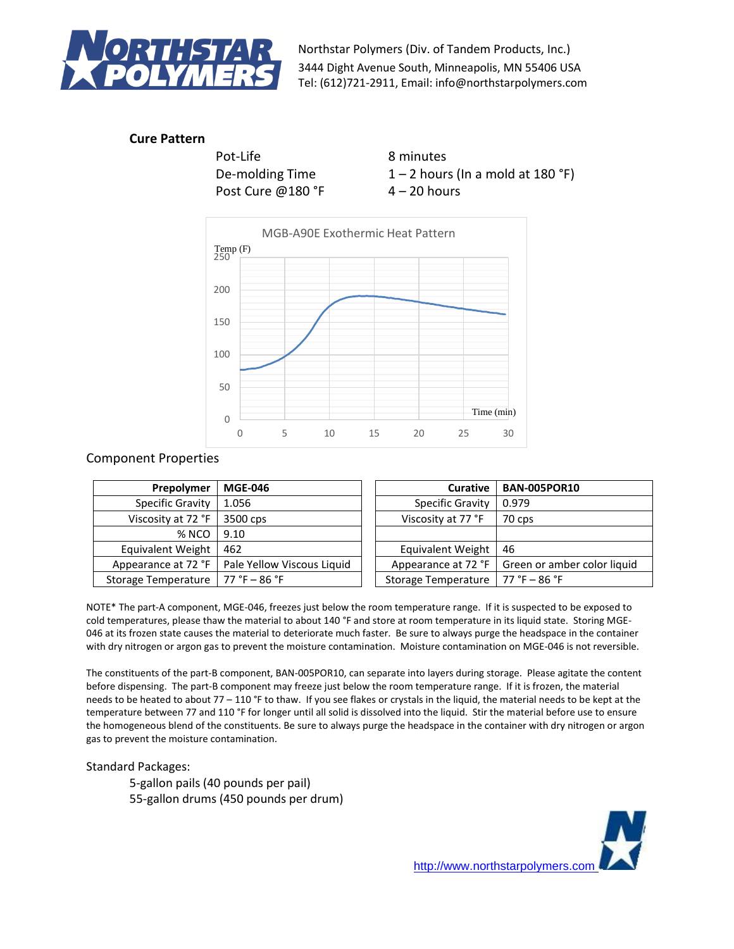

# **Cure Pattern**

Pot-Life 8 minutes Post Cure  $@180$  °F  $4-20$  hours

De-molding Time  $1 - 2$  hours (In a mold at 180 °F)



# Component Properties

| Prepolymer              | <b>MGE-046</b>                                   | <b>Curative</b>            | <b>BAN-005POR10</b>         |
|-------------------------|--------------------------------------------------|----------------------------|-----------------------------|
| <b>Specific Gravity</b> | 1.056                                            | Specific Gravity           | 0.979                       |
| Viscosity at 72 °F      | 3500 cps                                         | Viscosity at 77 °F         | 70 cps                      |
| % NCO                   | 9.10                                             |                            |                             |
| Equivalent Weight       | 462                                              | Equivalent Weight          | 46                          |
|                         | Appearance at 72 °F   Pale Yellow Viscous Liquid | Appearance at 72 °F        | Green or amber color liquid |
| Storage Temperature     | $77 °F - 86 °F$                                  | <b>Storage Temperature</b> | $77 °F - 86 °F$             |

NOTE\* The part-A component, MGE-046, freezes just below the room temperature range. If it is suspected to be exposed to cold temperatures, please thaw the material to about 140 °F and store at room temperature in its liquid state. Storing MGE-046 at its frozen state causes the material to deteriorate much faster. Be sure to always purge the headspace in the container with dry nitrogen or argon gas to prevent the moisture contamination. Moisture contamination on MGE-046 is not reversible.

The constituents of the part-B component, BAN-005POR10, can separate into layers during storage. Please agitate the content before dispensing. The part-B component may freeze just below the room temperature range. If it is frozen, the material needs to be heated to about 77 – 110 °F to thaw. If you see flakes or crystals in the liquid, the material needs to be kept at the temperature between 77 and 110 °F for longer until all solid is dissolved into the liquid. Stir the material before use to ensure the homogeneous blend of the constituents. Be sure to always purge the headspace in the container with dry nitrogen or argon gas to prevent the moisture contamination.

## Standard Packages:

5-gallon pails (40 pounds per pail) 55-gallon drums (450 pounds per drum)

[http://www.northstarpolymers.com](http://www.northstarpolymers.com/)

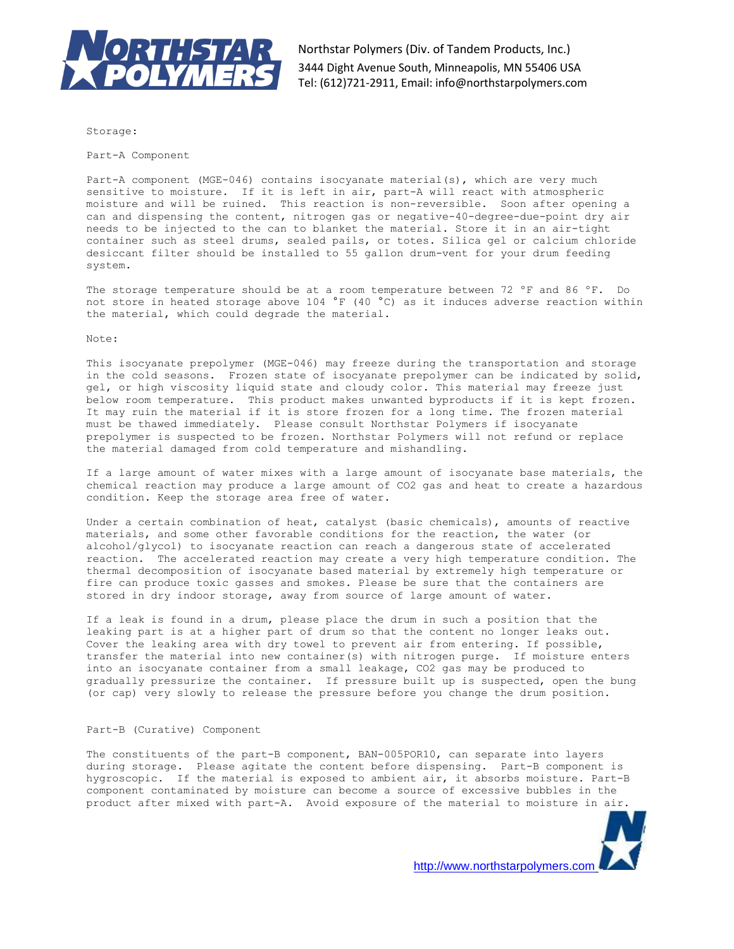

Storage:

Part-A Component

Part-A component (MGE-046) contains isocyanate material(s), which are very much sensitive to moisture. If it is left in air, part-A will react with atmospheric moisture and will be ruined. This reaction is non-reversible. Soon after opening a can and dispensing the content, nitrogen gas or negative-40-degree-due-point dry air needs to be injected to the can to blanket the material. Store it in an air-tight container such as steel drums, sealed pails, or totes. Silica gel or calcium chloride desiccant filter should be installed to 55 gallon drum-vent for your drum feeding system.

The storage temperature should be at a room temperature between 72 ºF and 86 ºF. Do not store in heated storage above 104 °F (40 °C) as it induces adverse reaction within the material, which could degrade the material.

Note:

This isocyanate prepolymer (MGE-046) may freeze during the transportation and storage in the cold seasons. Frozen state of isocyanate prepolymer can be indicated by solid, gel, or high viscosity liquid state and cloudy color. This material may freeze just below room temperature. This product makes unwanted byproducts if it is kept frozen. It may ruin the material if it is store frozen for a long time. The frozen material must be thawed immediately. Please consult Northstar Polymers if isocyanate prepolymer is suspected to be frozen. Northstar Polymers will not refund or replace the material damaged from cold temperature and mishandling.

If a large amount of water mixes with a large amount of isocyanate base materials, the chemical reaction may produce a large amount of CO2 gas and heat to create a hazardous condition. Keep the storage area free of water.

Under a certain combination of heat, catalyst (basic chemicals), amounts of reactive materials, and some other favorable conditions for the reaction, the water (or alcohol/glycol) to isocyanate reaction can reach a dangerous state of accelerated reaction. The accelerated reaction may create a very high temperature condition. The thermal decomposition of isocyanate based material by extremely high temperature or fire can produce toxic gasses and smokes. Please be sure that the containers are stored in dry indoor storage, away from source of large amount of water.

If a leak is found in a drum, please place the drum in such a position that the leaking part is at a higher part of drum so that the content no longer leaks out. Cover the leaking area with dry towel to prevent air from entering. If possible, transfer the material into new container(s) with nitrogen purge. If moisture enters into an isocyanate container from a small leakage, CO2 gas may be produced to gradually pressurize the container. If pressure built up is suspected, open the bung (or cap) very slowly to release the pressure before you change the drum position.

#### Part-B (Curative) Component

The constituents of the part-B component, BAN-005POR10, can separate into layers during storage. Please agitate the content before dispensing. Part-B component is hygroscopic. If the material is exposed to ambient air, it absorbs moisture. Part-B component contaminated by moisture can become a source of excessive bubbles in the product after mixed with part-A. Avoid exposure of the material to moisture in air.